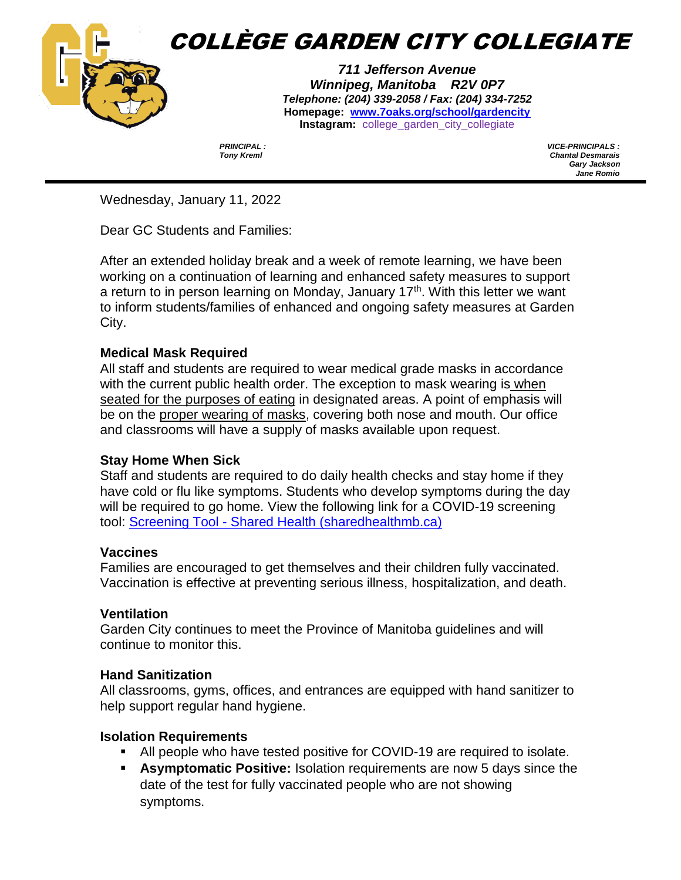

*PRINCIPAL : VICE-PRINCIPALS : Tony Kreml Chantal Desmarais Gary Jackson Jane Romio*

Wednesday, January 11, 2022

Dear GC Students and Families:

After an extended holiday break and a week of remote learning, we have been working on a continuation of learning and enhanced safety measures to support a return to in person learning on Monday, January  $17<sup>th</sup>$ . With this letter we want to inform students/families of enhanced and ongoing safety measures at Garden City.

## **Medical Mask Required**

All staff and students are required to wear medical grade masks in accordance with the current public health order. The exception to mask wearing is when seated for the purposes of eating in designated areas. A point of emphasis will be on the proper wearing of masks, covering both nose and mouth. Our office and classrooms will have a supply of masks available upon request.

### **Stay Home When Sick**

Staff and students are required to do daily health checks and stay home if they have cold or flu like symptoms. Students who develop symptoms during the day will be required to go home. View the following link for a COVID-19 screening tool: Screening Tool - [Shared Health \(sharedhealthmb.ca\)](https://sharedhealthmb.ca/covid19/screening-tool/)

### **Vaccines**

Families are encouraged to get themselves and their children fully vaccinated. Vaccination is effective at preventing serious illness, hospitalization, and death.

### **Ventilation**

Garden City continues to meet the Province of Manitoba guidelines and will continue to monitor this.

### **Hand Sanitization**

All classrooms, gyms, offices, and entrances are equipped with hand sanitizer to help support regular hand hygiene.

### **Isolation Requirements**

- All people who have tested positive for COVID-19 are required to isolate.
- **Asymptomatic Positive:** Isolation requirements are now 5 days since the date of the test for fully vaccinated people who are not showing symptoms.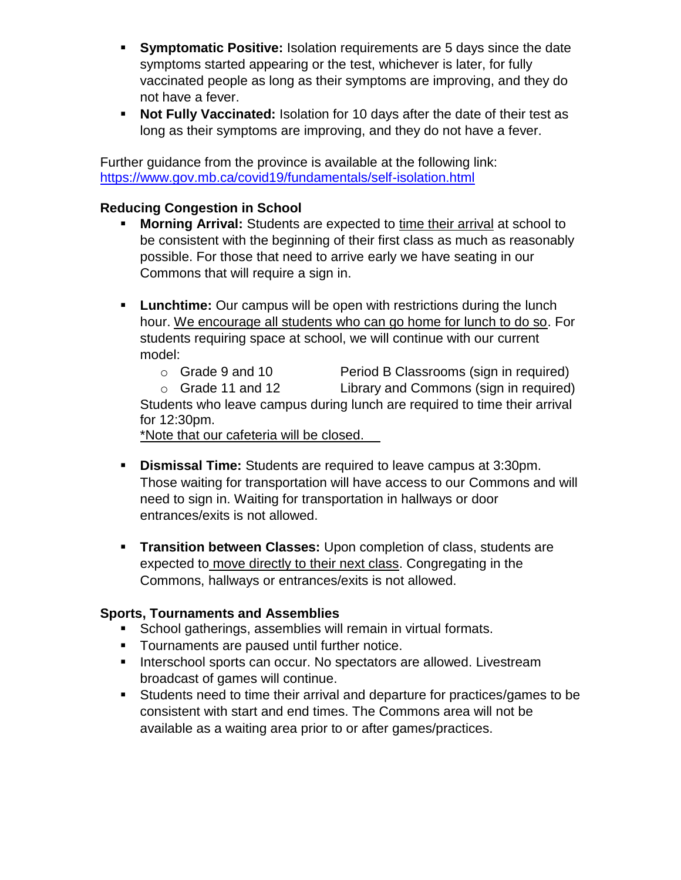- **Symptomatic Positive:** Isolation requirements are 5 days since the date symptoms started appearing or the test, whichever is later, for fully vaccinated people as long as their symptoms are improving, and they do not have a fever.
- **Not Fully Vaccinated:** Isolation for 10 days after the date of their test as long as their symptoms are improving, and they do not have a fever.

Further guidance from the province is available at the following link: <https://www.gov.mb.ca/covid19/fundamentals/self-isolation.html>

# **Reducing Congestion in School**

- **Morning Arrival:** Students are expected to time their arrival at school to be consistent with the beginning of their first class as much as reasonably possible. For those that need to arrive early we have seating in our Commons that will require a sign in.
- **Lunchtime:** Our campus will be open with restrictions during the lunch hour. We encourage all students who can go home for lunch to do so. For students requiring space at school, we will continue with our current model:
	- o Grade 9 and 10 Period B Classrooms (sign in required)

o Grade 11 and 12 Library and Commons (sign in required) Students who leave campus during lunch are required to time their arrival for 12:30pm.

\*Note that our cafeteria will be closed.

- **Dismissal Time:** Students are required to leave campus at 3:30pm. Those waiting for transportation will have access to our Commons and will need to sign in. Waiting for transportation in hallways or door entrances/exits is not allowed.
- **Transition between Classes:** Upon completion of class, students are expected to move directly to their next class. Congregating in the Commons, hallways or entrances/exits is not allowed.

### **Sports, Tournaments and Assemblies**

- **School gatherings, assemblies will remain in virtual formats.**
- **Tournaments are paused until further notice.**
- **Interschool sports can occur. No spectators are allowed. Livestream** broadcast of games will continue.
- Students need to time their arrival and departure for practices/games to be consistent with start and end times. The Commons area will not be available as a waiting area prior to or after games/practices.